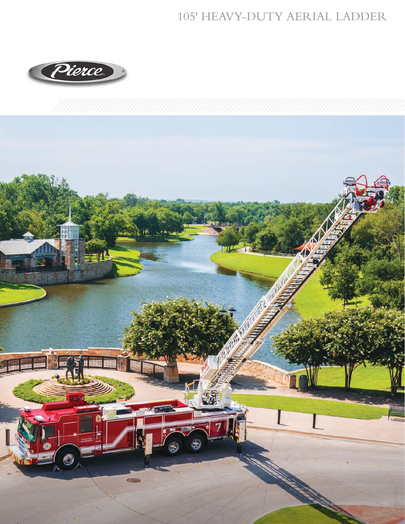## 105' HEAVY-DUTY AERIAL LADDER